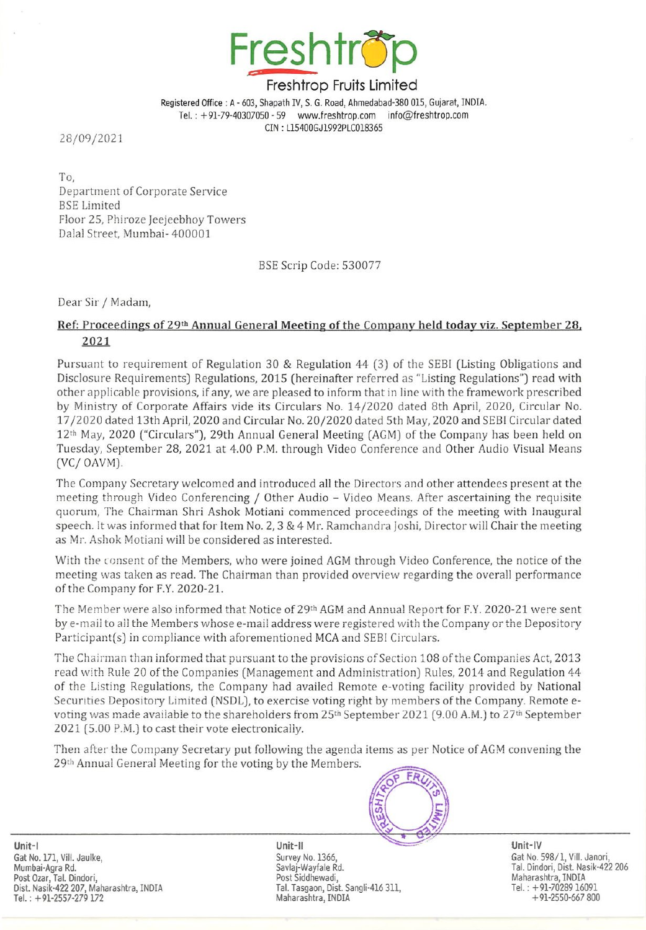

# Freshtrop Fruits Limited

Registered Office : A - 603, Shapath IV, S. G. Road, Ahmedabad-380 015, Gujarat, INDIA. Tel. : +91-79-40307050-59 www.freshtrop.com info@freshtrop.com CIN : L15400GJ1992PLC018365

28/09/2021

To, Department of Corporate Service BSE Limited Floor 25, Phiroze Jeejeebhoy Towers Dalal Street, Mumbai- 400001

BSE Scrip Code: 530077

Dear Sir / Madam,

## Ref: Proceedings of 29» Annual General Meeting of the Company held today viz. September28, 2021

Pursuant to requirement of Regulation 30 & Regulation 44 (3) of the SEBI (Listing Obligations and Disclosure Requirements) Regulations, 2015 (hereinafter referred as "Listing Regulations") read with other applicable provisions, if any, we are pleased to inform that in line with the framework prescribed by Ministry of Corporate Affairs vide its Circulars No. 14/2020 dated 8th April, 2020, Circular No. 17/2020 dated 13th April, 2020 and Circular No. 20/2020 dated Sth May, 2020 and SEBI Circular dated 12<sup>th</sup> May, 2020 ("Circulars"), 29th Annual General Meeting (AGM) of the Company has been held on Tuesday, September 28, 2021 at 4.00 P.M. through Video Conference and Other Audio Visual Means (VC/ OAVM). **EXECUTE:**<br> **EXECUTE:**<br> **EXECUTE:**<br> **EXECUTE:**<br> **EXECUTE:**<br> **EXECUTE:**<br> **EXECUTE:**<br> **EXECUTE:**<br> **EXECUTE:**<br> **EXECUTE:**<br> **EXECUTE:**<br> **EXECUTE:**<br> **EXECUTE:**<br> **EXECUTE:**<br> **EXECUTE:**<br> **EXECUTE:**<br> **EXECUTE:**<br> **EXECUTE:**<br> **EXEC** 

The Company Secretary welcomed and introducedall the Directors and other attendees present at the meeting through Video Conferencing / Other Audio - Video Means. After ascertaining the requisite quorum, The Chairman Shri Ashok Motiani commenced proceedings of the meeting with Inaugural speech. It was informed that for Item No. 2, 3 & 4 Mr. Ramchandra Joshi, Director will Chair the meeting as Mr. Ashok Motiani will be considered as interested.

With the consent of the Members, who were joined AGM through Video Conference, the notice of the meeting was taken as read. The Chairman than provided overview regarding the overall performance of the Company for F.Y. 2020-21.

The Member were also informed that Notice of 29<sup>th</sup> AGM and Annual Report for F.Y. 2020-21 were sent by e-mail to all the Members whose e-mail address were registered with the Company or the Depository Participant(s) in compliance with aforementioned MCA and SEBI Circulars.

The Chairman than informed that pursuant to the provisions of Section 108 of the Companies Act, 2013 read with Rule 20 of the Companies (Management and Administration) Rules, 2014 and Regulation 44 of the Listing Regulations, the Company had availed Remote e-voting facility provided by National Securities Depository Limited (NSDL), to exercise voting right by members of the Company. Remoteevoting was made available to the shareholders from 25<sup>th</sup> September 2021 (9.00 A.M.) to 27<sup>th</sup> September 2021 (5.00 P.M.) to cast their vote electronically.

Then after the Company Secretary put following the agenda items as per Notice of AGM convening the 29» Annual General Meeting for the voting by the Members.

Gat No. 171, Vill. Jaulke, Survey No. 1366, Survey No. 1366, Gat No. 598/1, Vill. Janori, Mumbai-Agra Rd. Savlaj-Wayfale Rd. Tal. Dindori, Dist. Nasik-422 206 Post Ozar, Tal. Dindori, New York Siddhewadi, New York Siddhewadi, New York Siddhewadi, Maharashtra, INDIA Dist. Nasik-422 207, Maharashtra, INDIA Tal. Tasgaon, Dist. Sangli-416 311, Tel. : +91-70289 16091 Tel. : +91-2557-279 172 Maharashtra, INDIA +91-2550-667 800

Unit-! Unit-ll Unit-|V